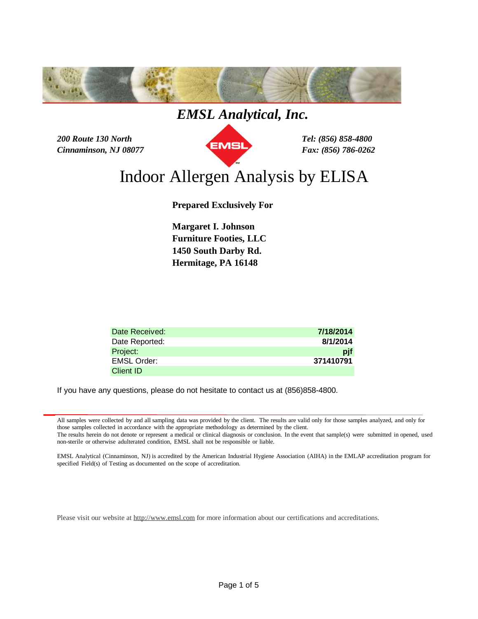

*200 Route 130 North Tel: (856) 858-4800 Cinnaminson, NJ 08077 Fax: (856) 786-0262*



# Indoor Allergen Analysis by ELISA

**Prepared Exclusively For**

**Furniture Footies, LLC Hermitage, PA 16148 Margaret I. Johnson 1450 South Darby Rd.**

| Date Received: | 7/18/2014 |
|----------------|-----------|
| Date Reported: | 8/1/2014  |
| Project:       | pif       |
| EMSL Order:    | 371410791 |
| Client ID      |           |

If you have any questions, please do not hesitate to contact us at (856)858-4800.

All samples were collected by and all sampling data was provided by the client. The results are valid only for those samples analyzed, and only for those samples collected in accordance with the appropriate methodology as determined by the client.

The results herein do not denote or represent a medical or clinical diagnosis or conclusion. In the event that sample(s) were submitted in opened, used non-sterile or otherwise adulterated condition, EMSL shall not be responsible or liable.

EMSL Analytical (Cinnaminson, NJ) is accredited by the American Industrial Hygiene Association (AIHA) in the EMLAP accreditation program for specified Field(s) of Testing as documented on the scope of accreditation.

Please visit our website at <http://www.emsl.com> for more information about our certifications and accreditations.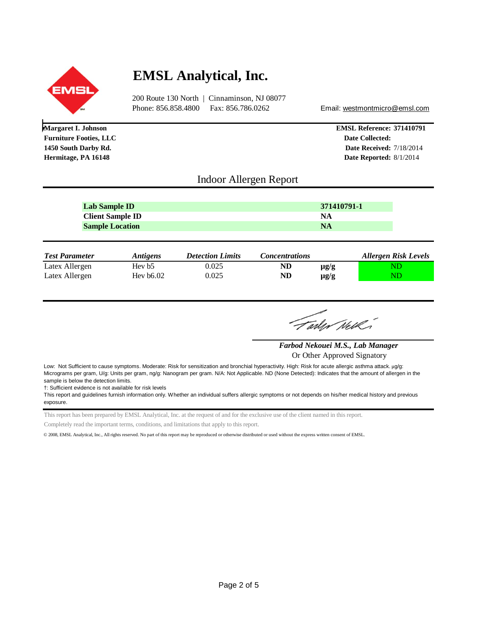

**Margaret I. Johnson**

**Furniture Footies, LLC 1450 South Darby Rd.**

**Hermitage, PA 16148**

# **EMSL Analytical, Inc.**

200 Route 130 North | Cinnaminson, NJ 08077 Phone: 856.858.4800 Fax: 856.786.0262 Email: [westmontmicro@emsl.com](mailto:westmontmicro@emsl.com)

**EMSL Reference: 371410791 Date Collected: Date Received:** 7/18/2014 **Date Reported:** 8/1/2014

## Indoor Allergen Report

| <b>NA</b> | Lab Sample ID           | 371410791-1 |
|-----------|-------------------------|-------------|
|           | <b>Client Sample ID</b> |             |
|           | <b>Sample Location</b>  |             |

| <b>Test Parameter</b> | <i><b>Antigens</b></i> | <b>Detection Limits</b> | <b>Concentrations</b> |           | <b>Allergen Risk Levels</b> |
|-----------------------|------------------------|-------------------------|-----------------------|-----------|-----------------------------|
| Latex Allergen        | Hey b <sub>5</sub>     | 0.025                   | ND                    | $\mu$ g/g |                             |
| Latex Allergen        | Hev $b6.02$            | 0.025                   | ND                    | $\mu$ g/g |                             |

Farlyr Nelk

*Farbod Nekouei M.S., Lab Manager*

Or Other Approved Signatory

Low: Not Sufficient to cause symptoms. Moderate: Risk for sensitization and bronchial hyperactivity. High: Risk for acute allergic asthma attack. μg/g: Micrograms per gram, U/g: Units per gram, ng/g: Nanogram per gram. N/A: Not Applicable. ND (None Detected): Indicates that the amount of allergen in the sample is below the detection limits.

†: Sufficient evidence is not available for risk levels

This report and guidelines furnish information only. Whether an individual suffers allergic symptoms or not depends on his/her medical history and previous exposure.

This report has been prepared by EMSL Analytical, Inc. at the request of and for the exclusive use of the client named in this report.

Completely read the important terms, conditions, and limitations that apply to this report.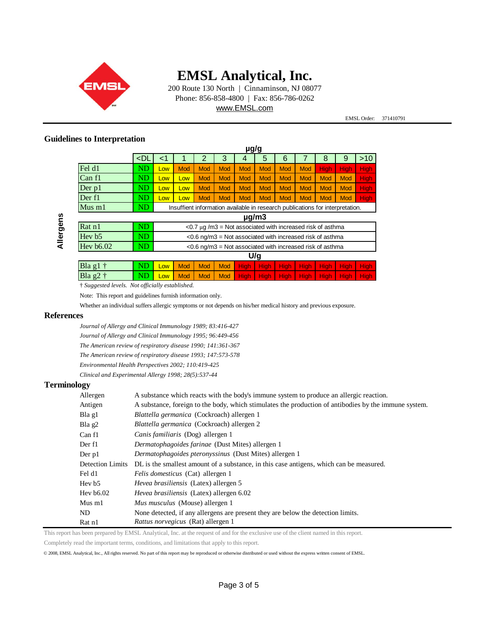

200 Route 130 North | Cinnaminson, NJ 08077 Phone: 856-858-4800 | Fax: 856-786-0262 [www.EMSL.com](http://www.EMSL.com)

EMSL Order: 371410791

### **Guidelines to Interpretation**

|                    |        |                                                                               |            |            |            | µg/g        |             |             |             |             |             |             |
|--------------------|--------|-------------------------------------------------------------------------------|------------|------------|------------|-------------|-------------|-------------|-------------|-------------|-------------|-------------|
|                    | $<$ DL | <1                                                                            |            | 2          | 3          | 4           | 5           | 6           |             | 8           | 9           | $>10$       |
| Fel d1             | ND     | Low                                                                           | Mod        | Mod        | Mod        | Mod         | Mod         | Mod         | <b>Mod</b>  | <b>High</b> | <b>High</b> | <b>High</b> |
| Can f1             | ND     | Low                                                                           | Low        | Mod        | Mod        | <b>Mod</b>  | Mod         | <b>Mod</b>  | <b>Mod</b>  | <b>Mod</b>  | Mod         | <b>High</b> |
| Der $p1$           | ND     | Low                                                                           | Low        | Mod        | Mod        | <b>Mod</b>  | Mod         | <b>Mod</b>  | <b>Mod</b>  | <b>Mod</b>  | Mod         | <b>High</b> |
| Der f1             | ND     | Low                                                                           | Low        | <b>Mod</b> | <b>Mod</b> | <b>Mod</b>  | Mod         | <b>Mod</b>  | Mod         | <b>Mod</b>  | Mod         | <b>High</b> |
| $Mus$ m $1$        | ND     | Insuffient information available in research publications for interpretation. |            |            |            |             |             |             |             |             |             |             |
| $\mu$ g/m $3$      |        |                                                                               |            |            |            |             |             |             |             |             |             |             |
| Rat n1             | ND     | $<$ 0.7 µg/m3 = Not associated with increased risk of asthma                  |            |            |            |             |             |             |             |             |             |             |
| Hey b <sub>5</sub> | ND     | $<$ 0.6 ng/m3 = Not associated with increased risk of asthma                  |            |            |            |             |             |             |             |             |             |             |
| Hev $b6.02$        | ND     | $<$ 0.6 ng/m3 = Not associated with increased risk of asthma                  |            |            |            |             |             |             |             |             |             |             |
|                    | U/g    |                                                                               |            |            |            |             |             |             |             |             |             |             |
| Bla g1             | ND     | <b>Low</b>                                                                    | <b>Mod</b> | <b>Mod</b> | <b>Mod</b> | <b>High</b> | <b>High</b> | <b>High</b> | <b>High</b> | <b>High</b> | <b>High</b> | High        |

 $B$ la g $2$  †  $\hbox{ND}$   $\hbox{ND}$   $\hbox{Low}$   $\hbox{Mod}$  Mod  $\hbox{Mod}$  High  $\hbox{High}$  High  $\hbox{High}$  High  $\hbox{High}$  High

† *Suggested levels. Not officially established.*

Note: This report and guidelines furnish information only.

Whether an individual suffers allergic symptoms or not depends on his/her medical history and previous exposure.

### **References**

*Journal of Allergy and Clinical Immunology 1989; 83:416-427 Journal of Allergy and Clinical Immunology 1995; 96:449-456 The American review of respiratory disease 1990; 141:361-367 The American review of respiratory disease 1993; 147:573-578 Environmental Health Perspectives 2002; 110:419-425*

*Clinical and Experimental Allergy 1998; 28(5):537-44*

### **Terminology**

| Allergen         | A substance which reacts with the body's immune system to produce an allergic reaction.               |
|------------------|-------------------------------------------------------------------------------------------------------|
| Antigen          | A substance, foreign to the body, which stimulates the production of antibodies by the immune system. |
| Bla g1           | Blattella germanica (Cockroach) allergen 1                                                            |
| Bla g2           | <i>Blattella germanica</i> (Cockroach) allergen 2                                                     |
| Can f1           | Canis familiaris (Dog) allergen 1                                                                     |
| Der f1           | Dermatophagoides farinae (Dust Mites) allergen 1                                                      |
| Der p1           | Dermatophagoides pteronyssinus (Dust Mites) allergen 1                                                |
| Detection Limits | DL is the smallest amount of a substance, in this case antigens, which can be measured.               |
| Fel d1           | Felis domesticus (Cat) allergen 1                                                                     |
| Hev b5           | <i>Hevea brasiliensis</i> (Latex) allergen 5                                                          |
| Hev b6.02        | <i>Hevea brasiliensis</i> (Latex) allergen 6.02                                                       |
| Mus m1           | <i>Mus musculus</i> (Mouse) allergen 1                                                                |
| ND               | None detected, if any allergens are present they are below the detection limits.                      |
| Rat n1           | Rattus norvegicus (Rat) allergen 1                                                                    |

This report has been prepared by EMSL Analytical, Inc. at the request of and for the exclusive use of the client named in this report.

Completely read the important terms, conditions, and limitations that apply to this report.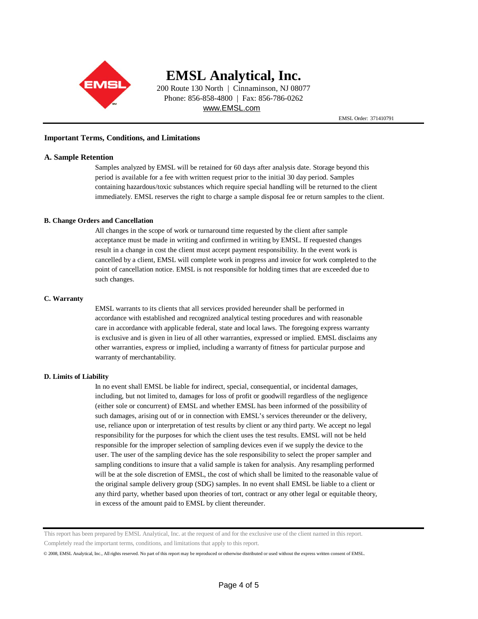

200 Route 130 North | Cinnaminson, NJ 08077 Phone: 856-858-4800 | Fax: 856-786-0262 [www.EMSL.com](http://www.EMSL.com)

EMSL Order: 371410791

#### **Important Terms, Conditions, and Limitations**

#### **A. Sample Retention**

Samples analyzed by EMSL will be retained for 60 days after analysis date. Storage beyond this period is available for a fee with written request prior to the initial 30 day period. Samples containing hazardous/toxic substances which require special handling will be returned to the client immediately. EMSL reserves the right to charge a sample disposal fee or return samples to the client.

#### **B. Change Orders and Cancellation**

All changes in the scope of work or turnaround time requested by the client after sample acceptance must be made in writing and confirmed in writing by EMSL. If requested changes result in a change in cost the client must accept payment responsibility. In the event work is cancelled by a client, EMSL will complete work in progress and invoice for work completed to the point of cancellation notice. EMSL is not responsible for holding times that are exceeded due to such changes.

#### **C. Warranty**

EMSL warrants to its clients that all services provided hereunder shall be performed in accordance with established and recognized analytical testing procedures and with reasonable care in accordance with applicable federal, state and local laws. The foregoing express warranty is exclusive and is given in lieu of all other warranties, expressed or implied. EMSL disclaims any other warranties, express or implied, including a warranty of fitness for particular purpose and warranty of merchantability.

#### **D. Limits of Liability**

In no event shall EMSL be liable for indirect, special, consequential, or incidental damages, including, but not limited to, damages for loss of profit or goodwill regardless of the negligence (either sole or concurrent) of EMSL and whether EMSL has been informed of the possibility of such damages, arising out of or in connection with EMSL's services thereunder or the delivery, use, reliance upon or interpretation of test results by client or any third party. We accept no legal responsibility for the purposes for which the client uses the test results. EMSL will not be held responsible for the improper selection of sampling devices even if we supply the device to the user. The user of the sampling device has the sole responsibility to select the proper sampler and sampling conditions to insure that a valid sample is taken for analysis. Any resampling performed will be at the sole discretion of EMSL, the cost of which shall be limited to the reasonable value of the original sample delivery group (SDG) samples. In no event shall EMSL be liable to a client or any third party, whether based upon theories of tort, contract or any other legal or equitable theory, in excess of the amount paid to EMSL by client thereunder.

This report has been prepared by EMSL Analytical, Inc. at the request of and for the exclusive use of the client named in this report. Completely read the important terms, conditions, and limitations that apply to this report.